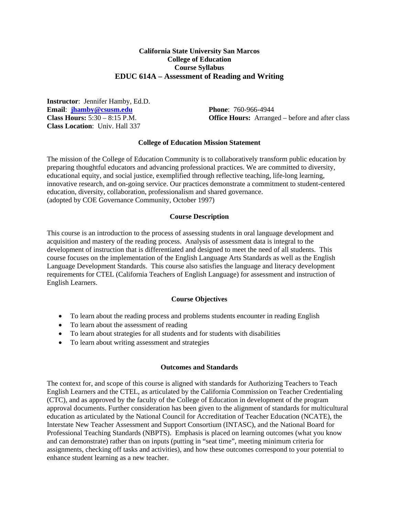## **California State University San Marcos College of Education Course Syllabus EDUC 614A – Assessment of Reading and Writing**

**Instructor**: Jennifer Hamby, Ed.D. **Email**: **jhamby@csusm.edu Phone**: 760-966-4944 **Class Location**: Univ. Hall 337

**Class Hours:** 5:30 – 8:15 P.M. **Office Hours:** Arranged – before and after class

#### **College of Education Mission Statement**

The mission of the College of Education Community is to collaboratively transform public education by preparing thoughtful educators and advancing professional practices. We are committed to diversity, educational equity, and social justice, exemplified through reflective teaching, life-long learning, innovative research, and on-going service. Our practices demonstrate a commitment to student-centered education, diversity, collaboration, professionalism and shared governance. (adopted by COE Governance Community, October 1997)

#### **Course Description**

This course is an introduction to the process of assessing students in oral language development and acquisition and mastery of the reading process. Analysis of assessment data is integral to the development of instruction that is differentiated and designed to meet the need of all students. This course focuses on the implementation of the English Language Arts Standards as well as the English Language Development Standards. This course also satisfies the language and literacy development requirements for CTEL (California Teachers of English Language) for assessment and instruction of English Learners.

#### **Course Objectives**

- To learn about the reading process and problems students encounter in reading English
- To learn about the assessment of reading
- To learn about strategies for all students and for students with disabilities
- To learn about writing assessment and strategies

#### **Outcomes and Standards**

The context for, and scope of this course is aligned with standards for Authorizing Teachers to Teach English Learners and the CTEL, as articulated by the California Commission on Teacher Credentialing (CTC), and as approved by the faculty of the College of Education in development of the program approval documents. Further consideration has been given to the alignment of standards for multicultural education as articulated by the National Council for Accreditation of Teacher Education (NCATE), the Interstate New Teacher Assessment and Support Consortium (INTASC), and the National Board for Professional Teaching Standards (NBPTS). Emphasis is placed on learning outcomes (what you know and can demonstrate) rather than on inputs (putting in "seat time", meeting minimum criteria for assignments, checking off tasks and activities), and how these outcomes correspond to your potential to enhance student learning as a new teacher.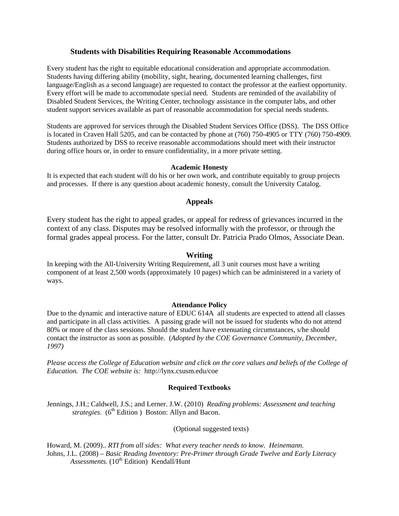## **Students with Disabilities Requiring Reasonable Accommodations**

Every student has the right to equitable educational consideration and appropriate accommodation. Students having differing ability (mobility, sight, hearing, documented learning challenges, first language/English as a second language) are requested to contact the professor at the earliest opportunity. Every effort will be made to accommodate special need. Students are reminded of the availability of Disabled Student Services, the Writing Center, technology assistance in the computer labs, and other student support services available as part of reasonable accommodation for special needs students.

Students are approved for services through the Disabled Student Services Office (DSS). The DSS Office is located in Craven Hall 5205, and can be contacted by phone at (760) 750-4905 or TTY (760) 750-4909. Students authorized by DSS to receive reasonable accommodations should meet with their instructor during office hours or, in order to ensure confidentiality, in a more private setting.

## **Academic Honesty**

It is expected that each student will do his or her own work, and contribute equitably to group projects and processes. If there is any question about academic honesty, consult the University Catalog.

## **Appeals**

Every student has the right to appeal grades, or appeal for redress of grievances incurred in the context of any class. Disputes may be resolved informally with the professor, or through the formal grades appeal process. For the latter, consult Dr. Patricia Prado Olmos, Associate Dean.

## **Writing**

In keeping with the All-University Writing Requirement, all 3 unit courses must have a writing component of at least 2,500 words (approximately 10 pages) which can be administered in a variety of ways.

## **Attendance Policy**

Due to the dynamic and interactive nature of EDUC 614A all students are expected to attend all classes and participate in all class activities. A passing grade will not be issued for students who do not attend 80% or more of the class sessions. Should the student have extenuating circumstances, s/he should contact the instructor as soon as possible. (*Adopted by the COE Governance Community, December, 1997)* 

*Please access the College of Education website and click on the core values and beliefs of the College of Education. The COE website is:* http://lynx.csusm.edu/coe

## **Required Textbooks**

 Jennings, J.H.; Caldwell, J.S.; and Lerner. J.W. (2010) *Reading problems: Assessment and teaching strategies.* (6<sup>th</sup> Edition ) Boston: Allyn and Bacon.

(Optional suggested texts)

Howard, M. (2009).. *RTI from all sides: What every teacher needs to know. Heinemann.*  Johns, J.L. (2008) – *Basic Reading Inventory: Pre-Primer through Grade Twelve and Early Literacy*  Assessments. (10<sup>th</sup> Edition) Kendall/Hunt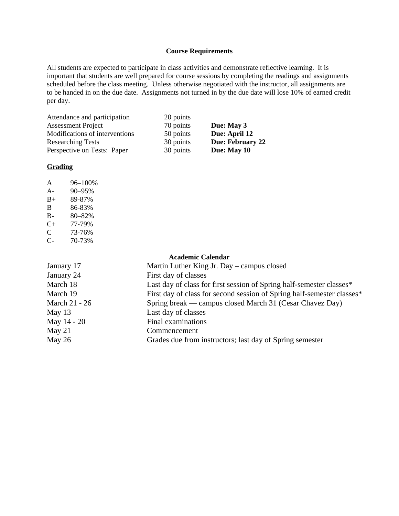#### **Course Requirements**

All students are expected to participate in class activities and demonstrate reflective learning. It is important that students are well prepared for course sessions by completing the readings and assignments scheduled before the class meeting. Unless otherwise negotiated with the instructor, all assignments are to be handed in on the due date. Assignments not turned in by the due date will lose 10% of earned credit per day.

 Attendance and participation Assessment Project Modifications of interventions Researching Tests Perspective on Tests: Paper

20 points 70 points 50 points 30 points 30 points

**Due: May 3 Due: April 12 Due: February 22 Due: May 10** 

#### **Grading**

| A     | 96-100% |
|-------|---------|
| $A -$ | 90-95%  |
| $B+$  | 89-87%  |
| B     | 86-83%  |
| B-    | 80-82%  |
| $C+$  | 77-79%  |
| C     | 73-76%  |
| C-    | 70-73%  |

#### **Academic Calendar**

| January 17    | Martin Luther King Jr. Day – campus closed                             |  |
|---------------|------------------------------------------------------------------------|--|
| January 24    | First day of classes                                                   |  |
| March 18      | Last day of class for first session of Spring half-semester classes*   |  |
| March 19      | First day of class for second session of Spring half-semester classes* |  |
| March 21 - 26 | Spring break — campus closed March 31 (Cesar Chavez Day)               |  |
| May 13        | Last day of classes                                                    |  |
| May 14 - 20   | Final examinations                                                     |  |
| May $21$      | Commencement                                                           |  |
| May 26        | Grades due from instructors; last day of Spring semester               |  |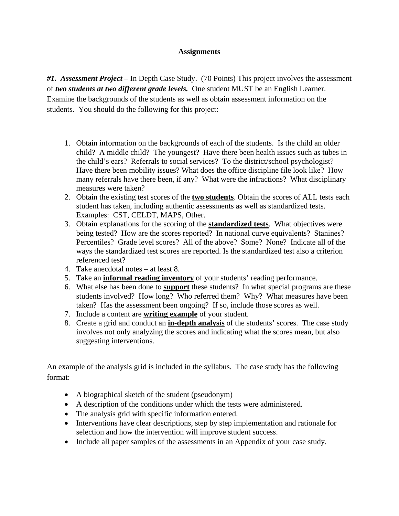# **Assignments**

*#1. Assessment Project* – In Depth Case Study. (70 Points) This project involves the assessment of *two students at two different grade levels.* One student MUST be an English Learner. Examine the backgrounds of the students as well as obtain assessment information on the students. You should do the following for this project:

- 1. Obtain information on the backgrounds of each of the students. Is the child an older child? A middle child? The youngest? Have there been health issues such as tubes in the child's ears? Referrals to social services? To the district/school psychologist? Have there been mobility issues? What does the office discipline file look like? How many referrals have there been, if any? What were the infractions? What disciplinary measures were taken?
- 2. Obtain the existing test scores of the **two students**. Obtain the scores of ALL tests each student has taken, including authentic assessments as well as standardized tests. Examples: CST, CELDT, MAPS, Other.
- being tested? How are the scores reported? In national curve equivalents? Stanines? 3. Obtain explanations for the scoring of the **standardized tests**. What objectives were Percentiles? Grade level scores? All of the above? Some? None? Indicate all of the ways the standardized test scores are reported. Is the standardized test also a criterion referenced test?
- 4. Take anecdotal notes at least 8.
- 5. Take an **informal reading inventory** of your students' reading performance.
- 6. What else has been done to **support** these students? In what special programs are these students involved? How long? Who referred them? Why? What measures have been taken? Has the assessment been ongoing? If so, include those scores as well.
- 7. Include a content are **writing example** of your student.
- 8. Create a grid and conduct an **in-depth analysis** of the students' scores. The case study involves not only analyzing the scores and indicating what the scores mean, but also suggesting interventions.

An example of the analysis grid is included in the syllabus. The case study has the following format:

- A biographical sketch of the student (pseudonym)
- A description of the conditions under which the tests were administered.
- The analysis grid with specific information entered.
- Interventions have clear descriptions, step by step implementation and rationale for selection and how the intervention will improve student success.
- Include all paper samples of the assessments in an Appendix of your case study.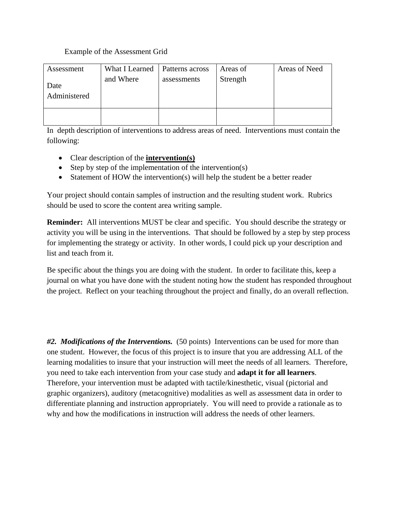# Example of the Assessment Grid

| Assessment           | What I Learned | Patterns across | Areas of | Areas of Need |
|----------------------|----------------|-----------------|----------|---------------|
| Date<br>Administered | and Where      | assessments     | Strength |               |
|                      |                |                 |          |               |

In depth description of interventions to address areas of need. Interventions must contain the following:

- Clear description of the **intervention(s)**
- Step by step of the implementation of the intervention(s)
- Statement of HOW the intervention(s) will help the student be a better reader

Your project should contain samples of instruction and the resulting student work. Rubrics should be used to score the content area writing sample.

**Reminder:** All interventions MUST be clear and specific. You should describe the strategy or activity you will be using in the interventions. That should be followed by a step by step process for implementing the strategy or activity. In other words, I could pick up your description and list and teach from it.

Be specific about the things you are doing with the student. In order to facilitate this, keep a journal on what you have done with the student noting how the student has responded throughout the project. Reflect on your teaching throughout the project and finally, do an overall reflection.

*#2. Modifications of the Interventions.* (50 points) Interventions can be used for more than one student. However, the focus of this project is to insure that you are addressing ALL of the learning modalities to insure that your instruction will meet the needs of all learners. Therefore, you need to take each intervention from your case study and **adapt it for all learners**. Therefore, your intervention must be adapted with tactile/kinesthetic, visual (pictorial and graphic organizers), auditory (metacognitive) modalities as well as assessment data in order to differentiate planning and instruction appropriately. You will need to provide a rationale as to why and how the modifications in instruction will address the needs of other learners.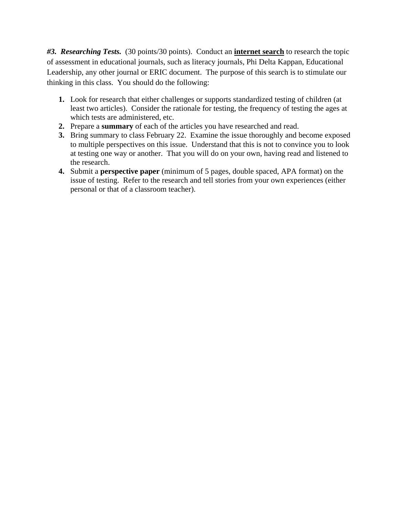*#3. Researching Tests.* (30 points/30 points). Conduct an **internet search** to research the topic of assessment in educational journals, such as literacy journals, Phi Delta Kappan, Educational Leadership, any other journal or ERIC document. The purpose of this search is to stimulate our thinking in this class. You should do the following:

- **1.** Look for research that either challenges or supports standardized testing of children (at least two articles). Consider the rationale for testing, the frequency of testing the ages at which tests are administered, etc.
- **2.** Prepare a **summary** of each of the articles you have researched and read.
- **3.** Bring summary to class February 22. Examine the issue thoroughly and become exposed to multiple perspectives on this issue. Understand that this is not to convince you to look at testing one way or another. That you will do on your own, having read and listened to the research.
- **4.** Submit a **perspective paper** (minimum of 5 pages, double spaced, APA format) on the issue of testing. Refer to the research and tell stories from your own experiences (either personal or that of a classroom teacher).